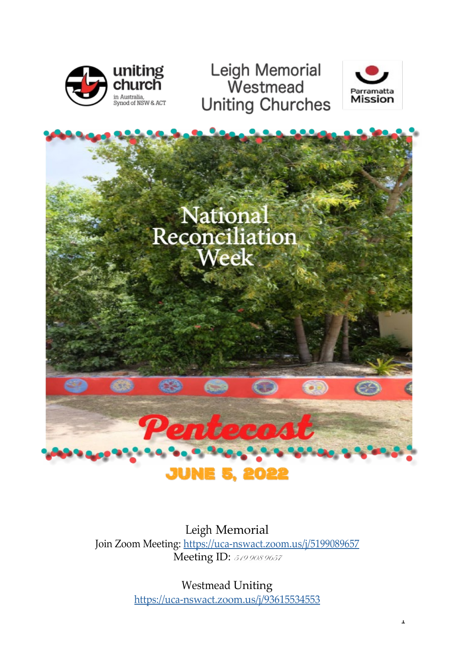

Leigh Memorial Westmead **Uniting Churches** 



1



Leigh Memorial Join Zoom Meeting: https://uca-nswact.zoom.us/j/5199089657 Meeting ID: 519 908 9657

> Westmead Uniting https://uca-nswact.zoom.us/j/93615534553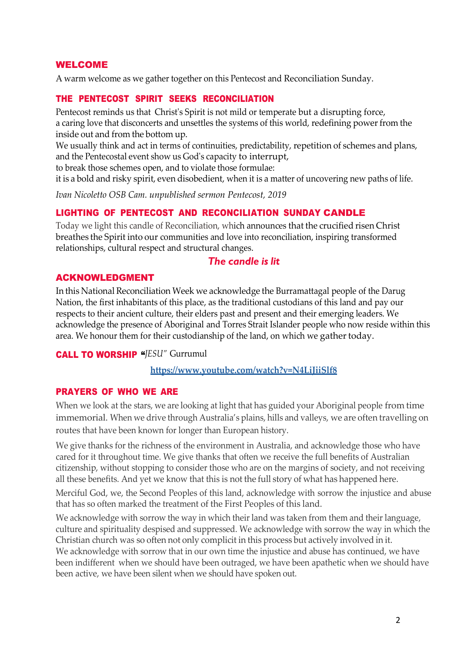### WELCOME

A warm welcome as we gather together on this Pentecost and Reconciliation Sunday.

### THE PENTECOST SPIRIT SEEKS RECONCILIATION

Pentecost reminds us that Christ's Spirit is not mild or temperate but a disrupting force, a caring love that disconcerts and unsettles the systems of this world, redefining power from the inside out and from the bottom up.

We usually think and act in terms of continuities, predictability, repetition of schemes and plans, and the Pentecostal event show us God's capacity to interrupt,

to break those schemes open, and to violate those formulae:

it is a bold and risky spirit, even disobedient, when it is a matter of uncovering new paths of life.

*Ivan Nicoletto OSB Cam. unpublished sermon Pentecost, 2019*

## LIGHTING OF PENTECOST AND RECONCILIATION SUNDAY CANDLE

Today we light this candle of Reconciliation, which announces that the crucified risen Christ breathes the Spirit into our communities and love into reconciliation, inspiring transformed relationships, cultural respect and structural changes.

### *The candle is lit*

### ACKNOWLEDGMENT

In this National Reconciliation Week we acknowledge the Burramattagal people of the Darug Nation, the first inhabitants of this place, as the traditional custodians of this land and pay our respects to their ancient culture, their elders past and present and their emerging leaders. We acknowledge the presence of Aboriginal and Torres Strait Islander people who now reside within this area. We honour them for their custodianship of the land, on which we gather today.

### CALL TO WORSHIP "*JESU"* Gurrumul

**https:/[/www.youtube.com/watch?v=N4LiJiiSlf8](http://www.youtube.com/watch?v=N4LiJiiSlf8)**

#### PRAYERS OF WHO WE ARE

When we look at the stars, we are looking at light that has guided your Aboriginal people from time immemorial. When we drive through Australia's plains, hills and valleys, we are often travelling on routes that have been known for longer than European history.

We give thanks for the richness of the environment in Australia, and acknowledge those who have cared for it throughout time. We give thanks that often we receive the full benefits of Australian citizenship, without stopping to consider those who are on the margins of society, and not receiving all these benefits. And yet we know that this is not the full story of what has happened here.

Merciful God, we, the Second Peoples of this land, acknowledge with sorrow the injustice and abuse that has so often marked the treatment of the First Peoples of this land.

We acknowledge with sorrow the way in which their land was taken from them and their language, culture and spirituality despised and suppressed. We acknowledge with sorrow the way in which the Christian church was so often not only complicit in this process but actively involved in it. We acknowledge with sorrow that in our own time the injustice and abuse has continued, we have been indifferent when we should have been outraged, we have been apathetic when we should have been active, we have been silent when we should have spoken out.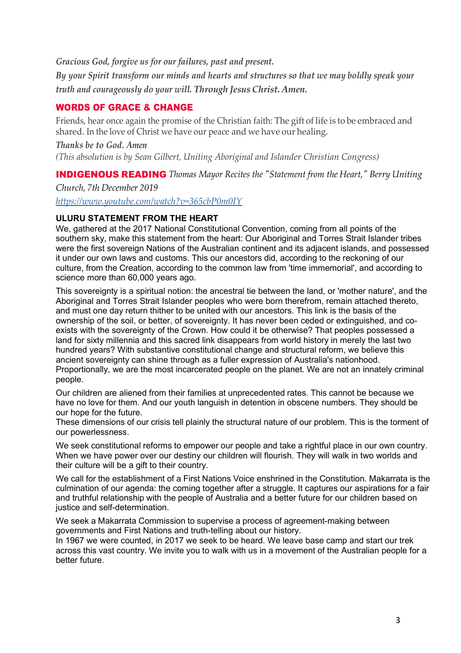*Gracious God, forgive us for our failures, past and present.*

*By your Spirit transform our minds and hearts and structures so that we may boldly speak your truth and courageously do your will. Through JesusChrist. Amen.*

## WORDS OF GRACE & CHANGE

Friends, hear once again the promise of the Christian faith: The gift of life is to be embraced and shared. In the love of Christ we have our peace and we have our healing.

*Thanks be to God. Amen (This absolution is by Sean Gilbert, Uniting Aboriginal and Islander Christian Congress)*

INDIGENOUS READING *Thomas Mayor Recites the "Statement from the Heart," Berry Uniting*

*Church, 7th December 2019 https:/[/www.youtube.com/watch?v=365cbP0m0IY](http://www.youtube.com/watch?v=365cbP0m0IY)*

### **ULURU STATEMENT FROM THE HEART**

We, gathered at the 2017 National Constitutional Convention, coming from all points of the southern sky, make this statement from the heart: Our Aboriginal and Torres Strait Islander tribes were the first sovereign Nations of the Australian continent and its adjacent islands, and possessed it under our own laws and customs. This our ancestors did, according to the reckoning of our culture, from the Creation, according to the common law from 'time immemorial', and according to science more than 60,000 years ago.

This sovereignty is a spiritual notion: the ancestral tie between the land, or 'mother nature', and the Aboriginal and Torres Strait Islander peoples who were born therefrom, remain attached thereto, and must one day return thither to be united with our ancestors. This link is the basis of the ownership of the soil, or better, of sovereignty. It has never been ceded or extinguished, and coexists with the sovereignty of the Crown. How could it be otherwise? That peoples possessed a land for sixty millennia and this sacred link disappears from world history in merely the last two hundred years? With substantive constitutional change and structural reform, we believe this ancient sovereignty can shine through as a fuller expression of Australia's nationhood. Proportionally, we are the most incarcerated people on the planet. We are not an innately criminal people.

Our children are aliened from their families at unprecedented rates. This cannot be because we have no love for them. And our youth languish in detention in obscene numbers. They should be our hope for the future.

These dimensions of our crisis tell plainly the structural nature of our problem. This is the torment of our powerlessness.

We seek constitutional reforms to empower our people and take a rightful place in our own country. When we have power over our destiny our children will flourish. They will walk in two worlds and their culture will be a gift to their country.

We call for the establishment of a First Nations Voice enshrined in the Constitution. Makarrata is the culmination of our agenda: the coming together after a struggle. It captures our aspirations for a fair and truthful relationship with the people of Australia and a better future for our children based on justice and self-determination.

We seek a Makarrata Commission to supervise a process of agreement-making between governments and First Nations and truth-telling about our history.

In 1967 we were counted, in 2017 we seek to be heard. We leave base camp and start our trek across this vast country. We invite you to walk with us in a movement of the Australian people for a better future.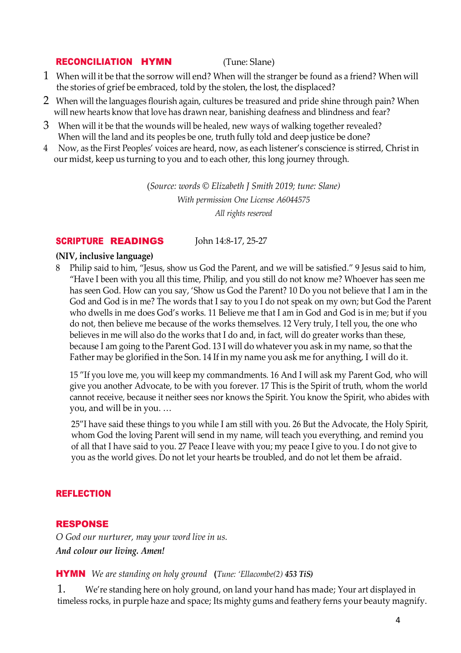### RECONCILIATION HYMN (Tune: Slane)

- 1 When will it be that the sorrow will end? When will the stranger be found as a friend? When will the stories of grief be embraced, told by the stolen, the lost, the displaced?
- 2 When will the languages flourish again, cultures be treasured and pride shine through pain? When will new hearts know that love has drawn near, banishing deafness and blindness and fear?
- 3 When will it be that the wounds will be healed, new ways of walking together revealed? When will the land and its peoples be one, truth fully told and deep justice be done?
- 4 Now, as the First Peoples' voices are heard, now, as each listener's conscience is stirred, Christ in our midst, keep us turning to you and to each other, this long journey through.

(*Source: words © Elizabeth J Smith 2019; tune: Slane) With permission One License A6044575 All rights reserved*

### SCRIPTURE READINGS John 14:8-17, 25-27

#### **(NIV, inclusive language)**

8 Philip said to him, "Jesus, show us God the Parent, and we will be satisfied." 9 Jesus said to him, "Have I been with you all this time, Philip, and you still do not know me? Whoever has seen me has seen God. How can you say, 'Show us God the Parent? 10 Do you not believe that I am in the God and God is in me? The words that I say to you I do not speak on my own; but God the Parent who dwells in me does God's works. 11 Believe me that I am in God and God is in me; but if you do not, then believe me because of the works themselves. 12 Very truly, I tell you, the one who believes in me will also do the works that I do and, in fact, will do greater works than these, because I am going to the Parent God. 13 I will do whatever you ask in my name, so that the Father may be glorified in the Son. 14 If in my name you ask me for anything, I will do it.

15 "If you love me, you will keep my commandments. 16 And I will ask my Parent God, who will give you another Advocate, to be with you forever. 17 This is the Spirit of truth, whom the world cannot receive, because it neither sees nor knows the Spirit. You know the Spirit, who abides with you, and will be in you. …

25"I have said these things to you while I am still with you. 26 But the Advocate, the Holy Spirit, whom God the loving Parent will send in my name, will teach you everything, and remind you of all that I have said to you. 27 Peace I leave with you; my peace I give to you. I do not give to you as the world gives. Do not let your hearts be troubled, and do not let them be afraid.

### REFLECTION

### RESPONSE

*O God our nurturer, may your word live in us. And colour our living. Amen!*

HYMN *We are standing on holy ground* **(***Tune: 'Ellacombe(2) 453 TiS)*

1. We're standing here on holy ground, on land your hand has made; Your art displayed in timeless rocks, in purple haze and space; Its mighty gums and feathery ferns your beauty magnify.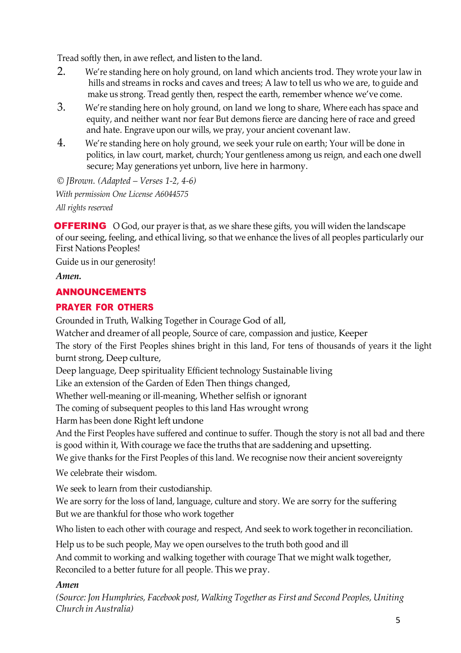Tread softly then, in awe reflect, and listen to the land.

- 2. We're standing here on holy ground, on land which ancients trod. They wrote your law in hills and streams in rocks and caves and trees; A law to tell us who we are, to guide and make us strong. Tread gently then, respect the earth, remember whence we've come.
- 3. We're standing here on holy ground, on land we long to share, Where each has space and equity, and neither want nor fear But demons fierce are dancing here of race and greed and hate. Engrave upon our wills, we pray, your ancient covenant law.
- 4. We're standing here on holy ground, we seek your rule on earth; Your will be done in politics, in law court, market, church; Your gentleness among us reign, and each one dwell secure; May generations yet unborn, live here in harmony.

*© JBrown. (Adapted – Verses 1-2, 4-6) With permission One License A6044575 All rights reserved*

**OFFERING** O God, our prayer is that, as we share these gifts, you will widen the landscape of our seeing, feeling, and ethical living, so that we enhance the lives of all peoples particularly our First Nations Peoples!

Guide us in our generosity!

*Amen.*

# ANNOUNCEMENTS

# PRAYER FOR OTHERS

Grounded in Truth, Walking Together in Courage God of all,

Watcher and dreamer of all people, Source of care, compassion and justice, Keeper

The story of the First Peoples shines bright in this land, For tens of thousands of years it the light burnt strong, Deep culture,

Deep language, Deep spirituality Efficient technology Sustainable living

Like an extension of the Garden of Eden Then things changed,

Whether well-meaning or ill-meaning, Whether selfish or ignorant

The coming of subsequent peoples to this land Has wrought wrong

Harm has been done Right left undone

And the First Peoples have suffered and continue to suffer. Though the story is not all bad and there is good within it, With courage we face the truths that are saddening and upsetting.

We give thanks for the First Peoples of this land. We recognise now their ancient sovereignty We celebrate their wisdom.

We seek to learn from their custodianship.

We are sorry for the loss of land, language, culture and story. We are sorry for the suffering But we are thankful for those who work together

Who listen to each other with courage and respect, And seek to work together in reconciliation.

Help us to be such people, May we open ourselves to the truth both good and ill

And commit to working and walking together with courage That we might walk together, Reconciled to a better future for all people. This we pray.

*Amen*

*(Source: Jon Humphries, Facebook post, Walking Together as First and Second Peoples, Uniting Church in Australia)*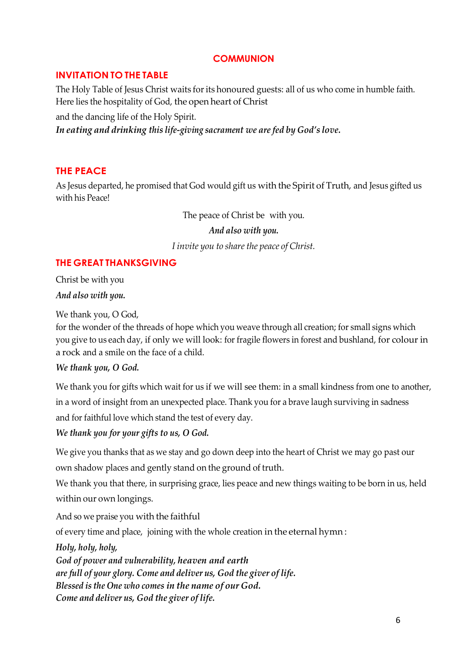# **COMMUNION**

## **INVITATION TO THE TABLE**

The Holy Table of Jesus Christ waits for its honoured guests: all of us who come in humble faith. Here lies the hospitality of God, the open heart of Christ

and the dancing life of the Holy Spirit.

*In eating and drinking this life-giving sacrament we are fed by God's love.*

### **THE PEACE**

As Jesus departed, he promised that God would gift us with the Spirit of Truth, and Jesus gifted us with his Peace!

The peace of Christ be with you.

#### *And also with you.*

*I invite you to sharethe peace of Christ.*

### **THE GREAT THANKSGIVING**

Christ be with you

#### *And also with you.*

We thank you, O God,

for the wonder of the threads of hope which you weave through all creation; for small signs which you give to us each day, if only we will look: for fragile flowers in forest and bushland, for colour in a rock and a smile on the face of a child.

### *We thank you, O God.*

We thank you for gifts which wait for us if we will see them: in a small kindness from one to another, in a word of insight from an unexpected place. Thank you for a brave laugh surviving in sadness and for faithful love which stand the test of every day.

### *We thank you for your gifts to us, O God.*

We give you thanks that as we stay and go down deep into the heart of Christ we may go past our own shadow places and gently stand on the ground of truth.

We thank you that there, in surprising grace, lies peace and new things waiting to be born in us, held within our own longings.

And so we praise you with the faithful

of every time and place, joining with the whole creation in the eternal hymn :

*Holy, holy, holy, God of power and vulnerability, heaven and earth are full of your glory. Come and deliver us, God the giver of life. Blessed is the One who comes in the name of our God. Come and deliver us, God the giver of life.*